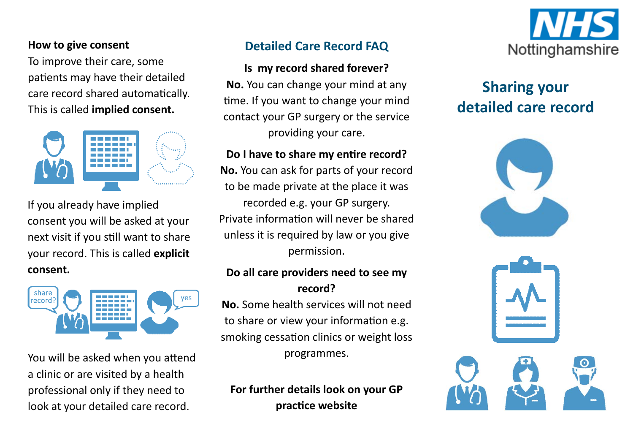#### **How to give consent**

To improve their care, some patients may have their detailed care record shared automaƟcally. This is called **implied consent.**



If you already have implied consent you will be asked at your next visit if you still want to share your record. This is called **explicit consent.**



You will be asked when you attend a clinic or are visited by <sup>a</sup> health professional only if they need to look at your detailed care record.

## **Detailed Care Record FAQ**

#### **Is my record shared forever?**

**No.** You can change your mind at any time. If you want to change your mind contact your GP surgery or the service providing your care.

## **Do I have to share my enƟre record?**

**No.** You can ask for parts of your record to be made private at the place it was recorded e.g. your GP surgery. Private information will never be shared unless it is required by law or you give permission.

#### **Do all care providers need to see my record?**

**No.** Some health services will not need to share or view your information e.g. smoking cessation clinics or weight loss programmes.

# **For further details look on your GP pracƟce website**



# **Sharing your detailed care record**